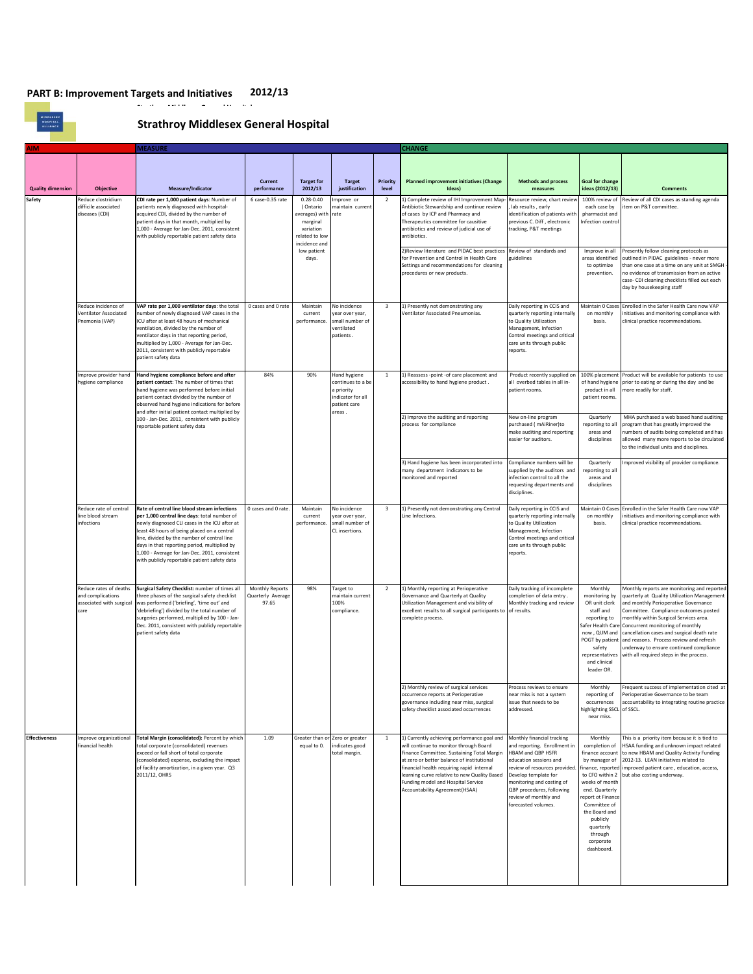MIDDLESEX<br>MOSPITAL<br>ALLIANCE

## **Strathroy Middlesex General Hospital**

| ۱M                       |                                                                                 | <b>MEASURE</b>                                                                                                                                                                                                                                                                                                                                                                               |                                                      |                                                                                                                               |                                                                                              |                          | <b>CHANGE</b>                                                                                                                                                                                                                                                                                                                                          |                                                                                                                                                                                                                                                                              |                                                                                                                                                                                                                                                             |                                                                                                                                                                                                                                                                                                                                                                                                                                          |
|--------------------------|---------------------------------------------------------------------------------|----------------------------------------------------------------------------------------------------------------------------------------------------------------------------------------------------------------------------------------------------------------------------------------------------------------------------------------------------------------------------------------------|------------------------------------------------------|-------------------------------------------------------------------------------------------------------------------------------|----------------------------------------------------------------------------------------------|--------------------------|--------------------------------------------------------------------------------------------------------------------------------------------------------------------------------------------------------------------------------------------------------------------------------------------------------------------------------------------------------|------------------------------------------------------------------------------------------------------------------------------------------------------------------------------------------------------------------------------------------------------------------------------|-------------------------------------------------------------------------------------------------------------------------------------------------------------------------------------------------------------------------------------------------------------|------------------------------------------------------------------------------------------------------------------------------------------------------------------------------------------------------------------------------------------------------------------------------------------------------------------------------------------------------------------------------------------------------------------------------------------|
| <b>Quality dimension</b> | <b>Objective</b>                                                                | Measure/Indicator                                                                                                                                                                                                                                                                                                                                                                            | Current<br>performance                               | <b>Target for</b><br>2012/13                                                                                                  | <b>Target</b><br>justification                                                               | <b>Priority</b><br>level | <b>Planned improvement initiatives (Change</b><br>Ideas)                                                                                                                                                                                                                                                                                               | <b>Methods and process</b><br>measures                                                                                                                                                                                                                                       | <b>Goal for change</b><br>ideas (2012/13)                                                                                                                                                                                                                   | <b>Comments</b>                                                                                                                                                                                                                                                                                                                                                                                                                          |
| Safety                   | Reduce clostridium<br>difficile associated<br>diseases (CDI)                    | CDI rate per 1,000 patient days: Number of<br>patients newly diagnosed with hospital-<br>acquired CDI, divided by the number of<br>patient days in that month, multiplied by<br>1,000 - Average for Jan-Dec. 2011, consistent<br>with publicly reportable patient safety data                                                                                                                | 6 case-0.35 rate                                     | $0.28 - 0.40$<br>(Ontario<br>verages) with<br>marginal<br>variation<br>elated to low<br>incidence and<br>low patient<br>days. | Improve or<br>maintain current<br>rate                                                       | $\overline{2}$           | 1) Complete review of IHI Improvement Map-<br>Antibiotic Stewardship and continue review<br>of cases by ICP and Pharmacy and<br>Therapeutics committee for causitive<br>antibiotics and review of judicial use of<br>antibiotics.                                                                                                                      | Resource review, chart revie<br>lab results, early<br>identification of patients with<br>previous C. Diff, electronic<br>tracking, P&T meetings                                                                                                                              | 100% review of<br>each case by<br>pharmacist and<br>Infection control                                                                                                                                                                                       | Review of all CDI cases as standing agenda<br>item on P&T committee.                                                                                                                                                                                                                                                                                                                                                                     |
|                          |                                                                                 |                                                                                                                                                                                                                                                                                                                                                                                              |                                                      |                                                                                                                               |                                                                                              |                          | 2) Review literature and PIDAC best practices<br>for Prevention and Control in Health Care<br>Settings and recommendations for cleaning<br>procedures or new products.                                                                                                                                                                                 | Review of standards and<br>guidelines                                                                                                                                                                                                                                        | Improve in all<br>areas identified<br>to optimize<br>prevention.                                                                                                                                                                                            | Presently follow cleaning protocols as<br>outlined in PIDAC guidelines - never more<br>than one case at a time on any unit at SMGH<br>no evidence of transmission from an active<br>case- CDI cleaning checklists filled out each<br>day by housekeeping staff                                                                                                                                                                           |
|                          | Reduce incidence of<br><b>Ventilator Associated</b><br>Pnemonia (VAP)           | VAP rate per 1,000 ventilator days: the total<br>number of newly diagnosed VAP cases in the<br>ICU after at least 48 hours of mechanical<br>ventilation, divided by the number of<br>ventilator days in that reporting period,<br>multiplied by 1,000 - Average for Jan-Dec.<br>2011, consistent with publicly reportable<br>patient safety data                                             | 0 cases and 0 rate                                   | Maintain<br>current<br>performance.                                                                                           | No incidence<br>year over year,<br>small number of<br>ventilated<br>patients.                | $\overline{\mathbf{3}}$  | 1) Presently not demonstrating any<br>Ventilator Associated Pneumonias.                                                                                                                                                                                                                                                                                | Daily reporting in CCIS and<br>quarterly reporting internally<br>to Quality Utilization<br>Management, Infection<br>Control meetings and critical<br>care units through public<br>reports.                                                                                   | Maintain 0 Case:<br>on monthly<br>basis.                                                                                                                                                                                                                    | Enrolled in the Safer Health Care now VAP<br>initiatives and monitoring compliance with<br>clinical practice recommendations.                                                                                                                                                                                                                                                                                                            |
|                          | Improve provider hand<br>hygiene compliance                                     | Hand hygiene compliance before and after<br>patient contact: The number of times that<br>hand hygiene was performed before initial<br>patient contact divided by the number of<br>observed hand hygiene indications for before<br>and after initial patient contact multiplied by<br>100 - Jan-Dec. 2011, consistent with publicly<br>reportable patient safety data                         | 84%                                                  | 90%                                                                                                                           | Hand hygiene<br>continues to a be<br>a priority<br>ndicator for all<br>patient care<br>reas. | 1                        | 1) Reassess -point -of care placement and<br>accessibility to hand hygiene product.                                                                                                                                                                                                                                                                    | Product recently supplied on<br>all overbed tables in all in-<br>patient rooms.                                                                                                                                                                                              | of hand hygiene<br>product in all<br>patient rooms.                                                                                                                                                                                                         | 100% placement Product will be available for patients to use<br>prior to eating or during the day and be<br>nore readily for staff.                                                                                                                                                                                                                                                                                                      |
|                          |                                                                                 |                                                                                                                                                                                                                                                                                                                                                                                              |                                                      |                                                                                                                               |                                                                                              |                          | 2) Improve the auditing and reporting<br>process for compliance                                                                                                                                                                                                                                                                                        | New on-line program<br>purchased (mAiRiner)to<br>make auditing and reporting<br>easier for auditors.                                                                                                                                                                         | Quarterly<br>reporting to all<br>areas and<br>disciplines                                                                                                                                                                                                   | MHA purchased a web based hand auditing<br>program that has greatly improved the<br>numbers of audits being completed and has<br>allowed many more reports to be circulated<br>to the individual units and disciplines.                                                                                                                                                                                                                  |
|                          |                                                                                 |                                                                                                                                                                                                                                                                                                                                                                                              |                                                      |                                                                                                                               |                                                                                              |                          | 3) Hand hygiene has been incorporated into<br>many department indicators to be<br>monitored and reported                                                                                                                                                                                                                                               | Compliance numbers will be<br>supplied by the auditors and<br>infection control to all the<br>requesting departments and<br>disciplines.                                                                                                                                     | Quarterly<br>reporting to all<br>areas and<br>disciplines                                                                                                                                                                                                   | Improved visibility of provider compliance.                                                                                                                                                                                                                                                                                                                                                                                              |
|                          | Reduce rate of central<br>line blood stream<br>infections                       | Rate of central line blood stream infections<br>per 1,000 central line days: total number of<br>newly diagnosed CLI cases in the ICU after at<br>least 48 hours of being placed on a central<br>line, divided by the number of central line<br>days in that reporting period, multiplied by<br>1,000 - Average for Jan-Dec. 2011, consistent<br>with publicly reportable patient safety data | 0 cases and 0 rate.                                  | Maintain<br>current<br>performance.                                                                                           | No incidence<br>year over year,<br>small number of<br>CL insertions.                         | $\overline{\mathbf{3}}$  | 1) Presently not demonstrating any Central<br>Line Infections.                                                                                                                                                                                                                                                                                         | Daily reporting in CCIS and<br>quarterly reporting internally<br>to Quality Utilization<br>Management, Infection<br>Control meetings and critical<br>care units through public<br>reports.                                                                                   | Maintain 0 Case:<br>on monthly<br>basis.                                                                                                                                                                                                                    | Enrolled in the Safer Health Care now VAP<br>initiatives and monitoring compliance with<br>clinical practice recommendations.                                                                                                                                                                                                                                                                                                            |
|                          | Reduce rates of deaths<br>and complications<br>associated with surgical<br>care | Surgical Safety Checklist: number of times all<br>three phases of the surgical safety checklist<br>was performed ('briefing', 'time out' and<br>'debriefing') divided by the total number of<br>surgeries performed, multiplied by 100 - Jan-<br>Dec. 2011, consistent with publicly reportable<br>patient safety data                                                                       | <b>Monthly Reports</b><br>Quarterly Average<br>97.65 | 98%                                                                                                                           | Target to<br>naintain current<br>100%<br>ompliance.                                          | $\overline{2}$           | 1) Monthly reporting at Perioperative<br>Governance and Quarterly at Quality<br>Utilization Management and visibility of<br>excellent results to all surgical participants to<br>complete process.                                                                                                                                                     | Daily tracking of incomplete<br>completion of data entry.<br>Monthly tracking and review<br>of results.                                                                                                                                                                      | Monthly<br>monitoring by<br>OR unit clerk<br>staff and<br>reporting to<br>Safer Health Car<br>now, QUM and<br>POGT by patient<br>safety<br>representatives<br>and clinical<br>leader OR.                                                                    | Monthly reports are monitoring and reported<br>quarterly at Quality Utilization Management<br>and monthly Perioperative Governance<br>Committee. Compliance outcomes posted<br>monthly within Surgical Services area.<br>Concurrent monitoring of monthly<br>cancellation cases and surgical death rate<br>and reasons. Process review and refresh<br>inderway to ensure continued compliance<br>with all required steps in the process. |
|                          |                                                                                 |                                                                                                                                                                                                                                                                                                                                                                                              |                                                      |                                                                                                                               |                                                                                              |                          | 2) Monthly review of surgical services<br>occurrence reports at Perioperative<br>governance including near miss, surgical<br>safety checklist associated occurrences                                                                                                                                                                                   | Process reviews to ensure<br>near miss is not a system<br>issue that needs to be<br>addressed.                                                                                                                                                                               | Monthly<br>reporting of<br>occurrences<br>highlighting SSCL of SSCL.<br>near miss.                                                                                                                                                                          | Frequent success of implementation cited at<br>Perioperative Governance to be team<br>accountability to integrating routine practice                                                                                                                                                                                                                                                                                                     |
| <b>Effectiveness</b>     | Improve organizational<br>financial health                                      | Total Margin (consolidated): Percent by which<br>total corporate (consolidated) revenues<br>exceed or fall short of total corporate<br>(consolidated) expense, excluding the impact<br>of facility amortization, in a given year. Q3<br>2011/12, OHRS                                                                                                                                        | 1.09                                                 | equal to 0.                                                                                                                   | Greater than or Zero or greater<br>indicates good<br>total margin.                           | $\mathbf{1}$             | 1) Currently achieving performance goal and<br>will continue to monitor through Board<br>Finance Committee. Sustaining Total Margin<br>at zero or better balance of institutional<br>financial health requiring rapid internal<br>learning curve relative to new Quality Based<br>Funding model and Hospital Service<br>Accountability Agreement(HSAA) | Monthly financial tracking<br>and reporting. Enrollment in<br>HBAM and QBP HSFR<br>education sessions and<br>review of resources provided.<br>Develop template for<br>monitoring and costing of<br>QBP procedures, following<br>review of monthly and<br>forecasted volumes. | Monthly<br>completion of<br>finance account<br>by manager of<br>inance, reported<br>to CFO within 2<br>weeks of month<br>end. Quarterly<br>eport ot Finance<br>Committee of<br>the Board and<br>publicly<br>quarterly<br>through<br>corporate<br>dashboard. | This is a priority item because it is tied to<br>HSAA funding and unknown impact related<br>to new HBAM and Quality Activity Funding<br>2012-13. LEAN initiatives related to<br>improved patient care, education, access,<br>but also costing underway.                                                                                                                                                                                  |